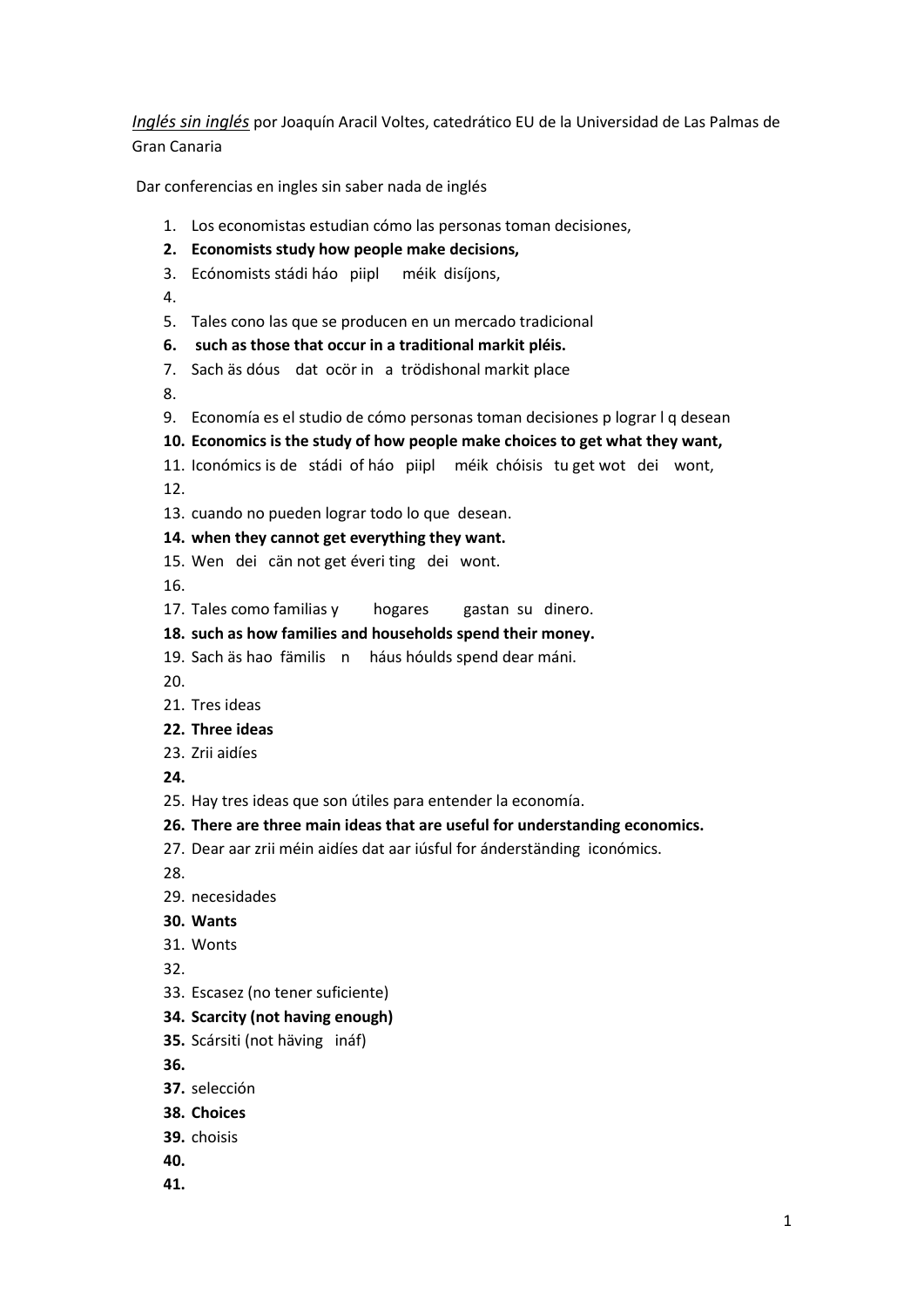*Inglés sin inglés* por Joaquín Aracil Voltes, catedrático EU de la Universidad de Las Palmas de Gran Canaria

Dar conferencias en ingles sin saber nada de inglés

- 1. Los economistas estudian cómo las personas toman decisiones,
- **2. Economists study how people make decisions,**
- 3. Ecónomists stádi háo piipl méik disíjons,
- 4.
- 5. Tales cono las que se producen en un mercado tradicional
- **6. such as those that occur in a traditional markit pléis.**
- 7. Sach äs dóus dat ocör in a trödishonal markit place

8.

- 9. Economía es el studio de cómo personas toman decisiones p lograr l q desean
- **10. Economics is the study of how people make choices to get what they want,**
- 11. Iconómics is de stádi of háo piipl méik chóisis tu get wot dei wont,

12.

- 13. cuando no pueden lograr todo lo que desean.
- **14. when they cannot get everything they want.**
- 15. Wen dei cän not get éveri ting dei wont.

16.

- 17. Tales como familias y hogares gastan su dinero.
- **18. such as how families and households spend their money.**
- 19. Sach äs hao fämilis n háus hóulds spend dear máni.

20.

- 21. Tres ideas
- **22. Three ideas**
- 23. Zrii aidíes
- **24.**
- 25. Hay tres ideas que son útiles para entender la economía.
- **26. There are three main ideas that are useful for understanding economics.**
- 27. Dear aar zrii méin aidíes dat aar iúsful for ánderständing iconómics.
- 28.
- 29. necesidades
- **30. Wants**
- 31. Wonts
- 32.
- 33. Escasez (no tener suficiente)
- **34. Scarcity (not having enough)**
- **35.** Scársiti (not häving ináf)

**36.**

- **37.** selección
- **38. Choices**
- **39.** choisis
- **40.**
- **41.**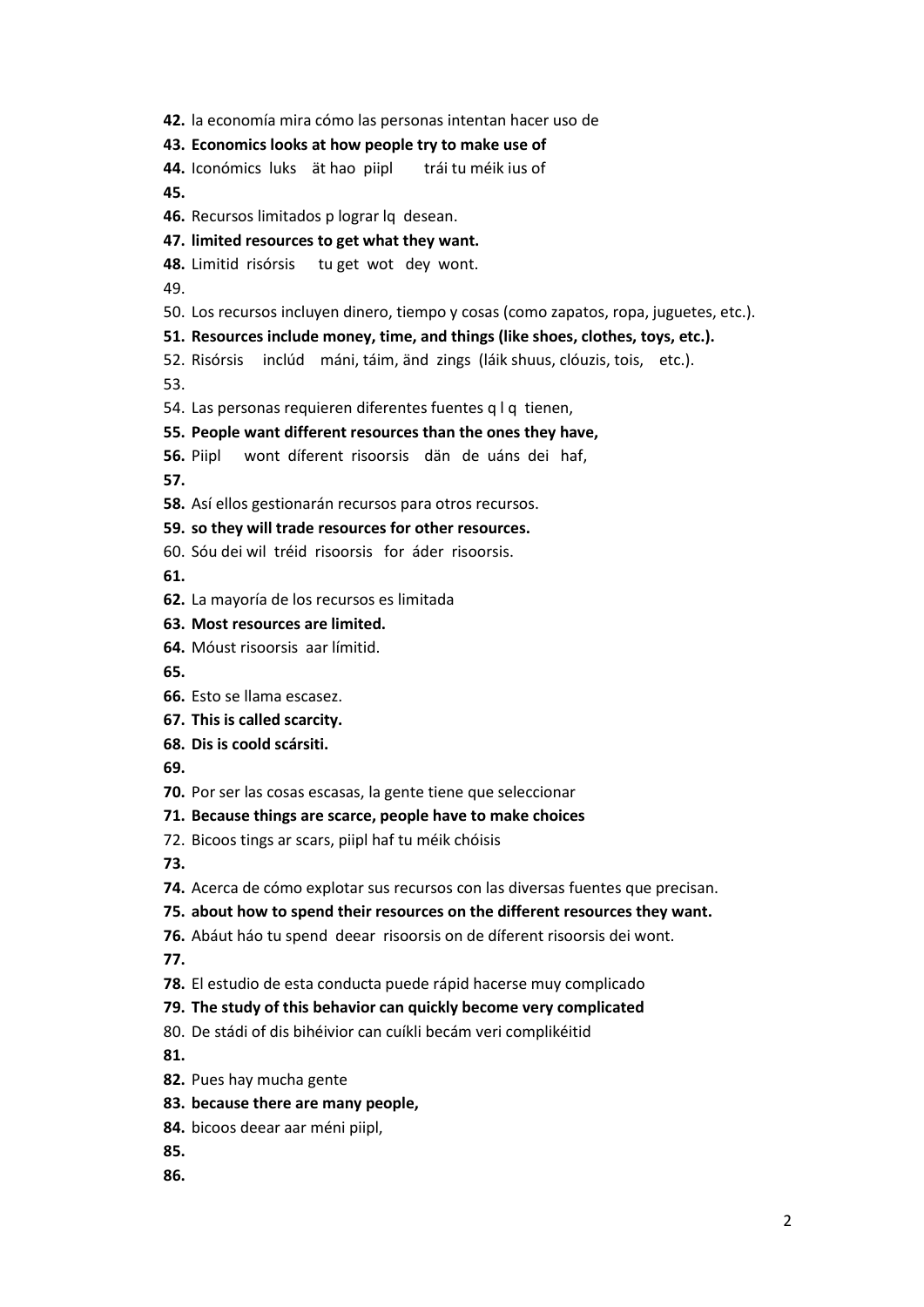**42.** la economía mira cómo las personas intentan hacer uso de

## **43. Economics looks at how people try to make use of**

**44.** Iconómics luks ät hao piipl trái tu méik ius of **45.**

- **46.** Recursos limitados p lograr lq desean.
- **47. limited resources to get what they want.**
- **48.** Limitid risórsis tu get wot dey wont.

49.

50. Los recursos incluyen dinero, tiempo y cosas (como zapatos, ropa, juguetes, etc.).

## **51. Resources include money, time, and things (like shoes, clothes, toys, etc.).**

52. Risórsis inclúd máni, táim, änd zings (láik shuus, clóuzis, tois, etc.).

53.

54. Las personas requieren diferentes fuentes q l q tienen,

## **55. People want different resources than the ones they have,**

**56.** Piipl wont díferent risoorsis dän de uáns dei haf,

**57.**

**58.** Así ellos gestionarán recursos para otros recursos.

## **59. so they will trade resources for other resources.**

60. Sóu dei wil tréid risoorsis for áder risoorsis.

**61.**

- **62.** La mayoría de los recursos es limitada
- **63. Most resources are limited.**
- **64.** Móust risoorsis aar límitid.
- **65.**
- **66.** Esto se llama escasez.
- **67. This is called scarcity.**
- **68. Dis is coold scársiti.**

**69.**

**70.** Por ser las cosas escasas, la gente tiene que seleccionar

# **71. Because things are scarce, people have to make choices**

72. Bicoos tings ar scars, piipl haf tu méik chóisis

**73.**

**74.** Acerca de cómo explotar sus recursos con las diversas fuentes que precisan.

# **75. about how to spend their resources on the different resources they want.**

**76.** Abáut háo tu spend deear risoorsis on de díferent risoorsis dei wont.

**77.**

- **78.** El estudio de esta conducta puede rápid hacerse muy complicado
- **79. The study of this behavior can quickly become very complicated**
- 80. De stádi of dis bihéivior can cuíkli becám veri complikéitid

**81.**

- **82.** Pues hay mucha gente
- **83. because there are many people,**
- **84.** bicoos deear aar méni piipl,
- **85.**
- **86.**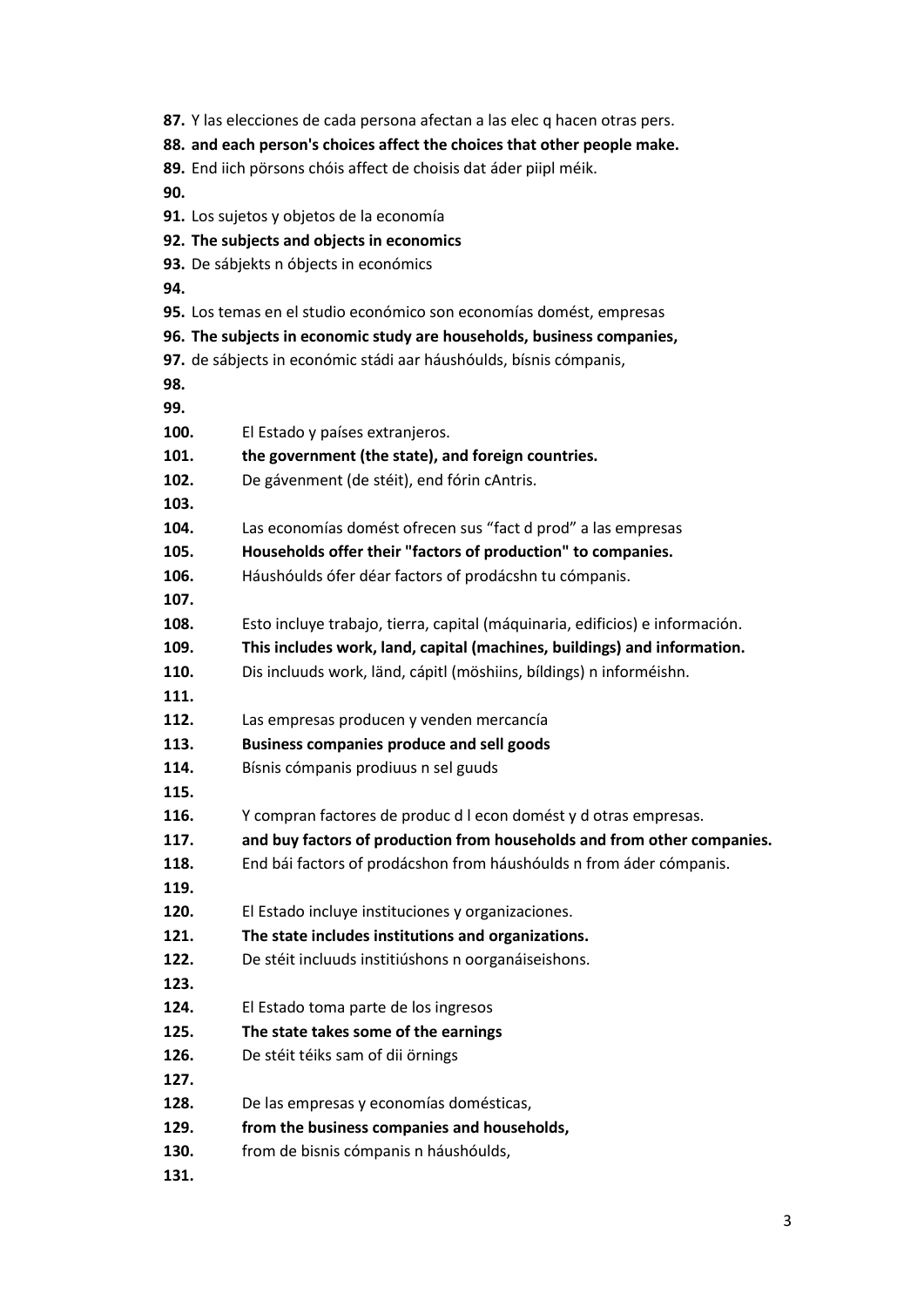**87.** Y las elecciones de cada persona afectan a las elec q hacen otras pers. **88. and each person's choices affect the choices that other people make. 89.** End iich pörsons chóis affect de choisis dat áder piipl méik. **90. 91.** Los sujetos y objetos de la economía **92. The subjects and objects in economics 93.** De sábjekts n óbjects in económics **94. 95.** Los temas en el studio económico son economías domést, empresas **96. The subjects in economic study are households, business companies, 97.** de sábjects in económic stádi aar háushóulds, bísnis cómpanis, **98. 99. 100.** El Estado y países extranjeros. **101. the government (the state), and foreign countries. 102.** De gávenment (de stéit), end fórin cAntris. **103. 104.** Las economías domést ofrecen sus "fact d prod" a las empresas **105. Households offer their "factors of production" to companies. 106.** Háushóulds ófer déar factors of prodácshn tu cómpanis. **107. 108.** Esto incluye trabajo, tierra, capital (máquinaria, edificios) e información. **109. This includes work, land, capital (machines, buildings) and information. 110.** Dis incluuds work, länd, cápitl (möshiins, bíldings) n informéishn. **111. 112.** Las empresas producen y venden mercancía **113. Business companies produce and sell goods 114.** Bísnis cómpanis prodiuus n sel guuds **115. 116.** Y compran factores de produc d l econ domést y d otras empresas. **117. and buy factors of production from households and from other companies. 118.** End bái factors of prodácshon from háushóulds n from áder cómpanis. **119. 120.** El Estado incluye instituciones y organizaciones. **121. The state includes institutions and organizations. 122.** De stéit incluuds institiúshons n oorganáiseishons. **123. 124.** El Estado toma parte de los ingresos **125. The state takes some of the earnings 126.** De stéit téiks sam of dii örnings **127. 128.** De las empresas y economías domésticas, **129. from the business companies and households, 130.** from de bisnis cómpanis n háushóulds, **131.**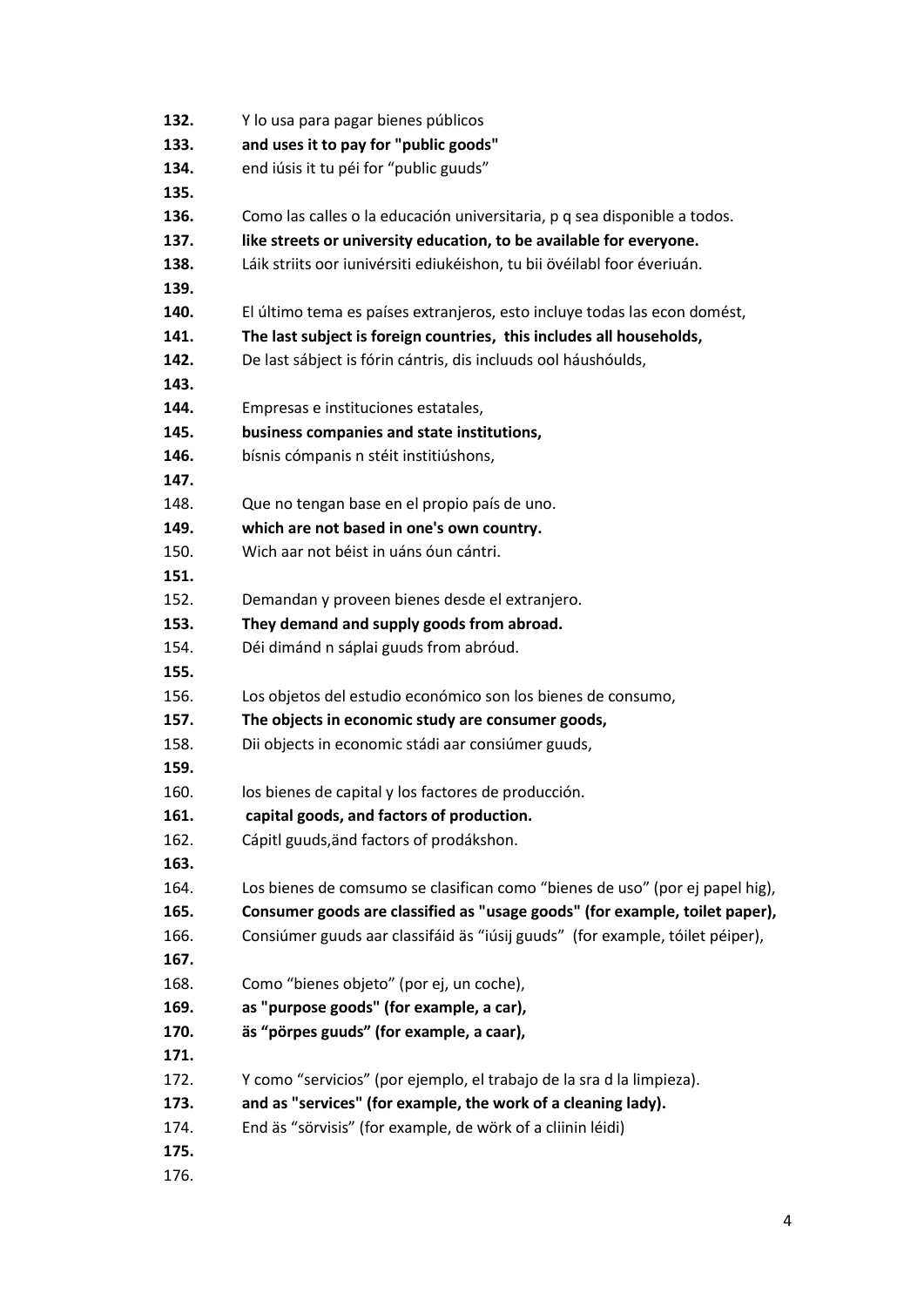| 132. | Y lo usa para pagar bienes públicos                                           |
|------|-------------------------------------------------------------------------------|
| 133. | and uses it to pay for "public goods"                                         |
| 134. | end iúsis it tu péi for "public guuds"                                        |
| 135. |                                                                               |
| 136. | Como las calles o la educación universitaria, p q sea disponible a todos.     |
| 137. | like streets or university education, to be available for everyone.           |
| 138. | Láik striits oor iunivérsiti ediukéishon, tu bii övéilabl foor éveriuán.      |
| 139. |                                                                               |
| 140. | El último tema es países extranjeros, esto incluye todas las econ domést,     |
| 141. | The last subject is foreign countries, this includes all households,          |
| 142. | De last sábject is fórin cántris, dis incluuds ool háushóulds,                |
| 143. |                                                                               |
| 144. | Empresas e instituciones estatales,                                           |
| 145. | business companies and state institutions,                                    |
| 146. | bísnis cómpanis n stéit institiúshons,                                        |
| 147. |                                                                               |
| 148. | Que no tengan base en el propio país de uno.                                  |
| 149. | which are not based in one's own country.                                     |
| 150. | Wich aar not béist in uáns óun cántri.                                        |
| 151. |                                                                               |
| 152. | Demandan y proveen bienes desde el extranjero.                                |
| 153. | They demand and supply goods from abroad.                                     |
| 154. | Déi dimánd n sáplai guuds from abróud.                                        |
| 155. |                                                                               |
| 156. | Los objetos del estudio económico son los bienes de consumo,                  |
| 157. | The objects in economic study are consumer goods,                             |
| 158. | Dii objects in economic stádi aar consiúmer guuds,                            |
| 159. |                                                                               |
| 160. | los bienes de capital y los factores de producción.                           |
| 161. | capital goods, and factors of production.                                     |
| 162. | Cápitl guuds, änd factors of prodákshon.                                      |
| 163. |                                                                               |
| 164. | Los bienes de comsumo se clasifican como "bienes de uso" (por ej papel hig),  |
| 165. | Consumer goods are classified as "usage goods" (for example, toilet paper),   |
| 166. | Consiúmer guuds aar classifáid äs "iúsij guuds" (for example, tóilet péiper), |
| 167. |                                                                               |
| 168. | Como "bienes objeto" (por ej, un coche),                                      |
| 169. | as "purpose goods" (for example, a car),                                      |
| 170. | äs "pörpes guuds" (for example, a caar),                                      |
| 171. |                                                                               |
| 172. | Y como "servicios" (por ejemplo, el trabajo de la sra d la limpieza).         |
| 173. | and as "services" (for example, the work of a cleaning lady).                 |
| 174. | End äs "sörvisis" (for example, de wörk of a cliinin léidi)                   |
| 175. |                                                                               |
| 176. |                                                                               |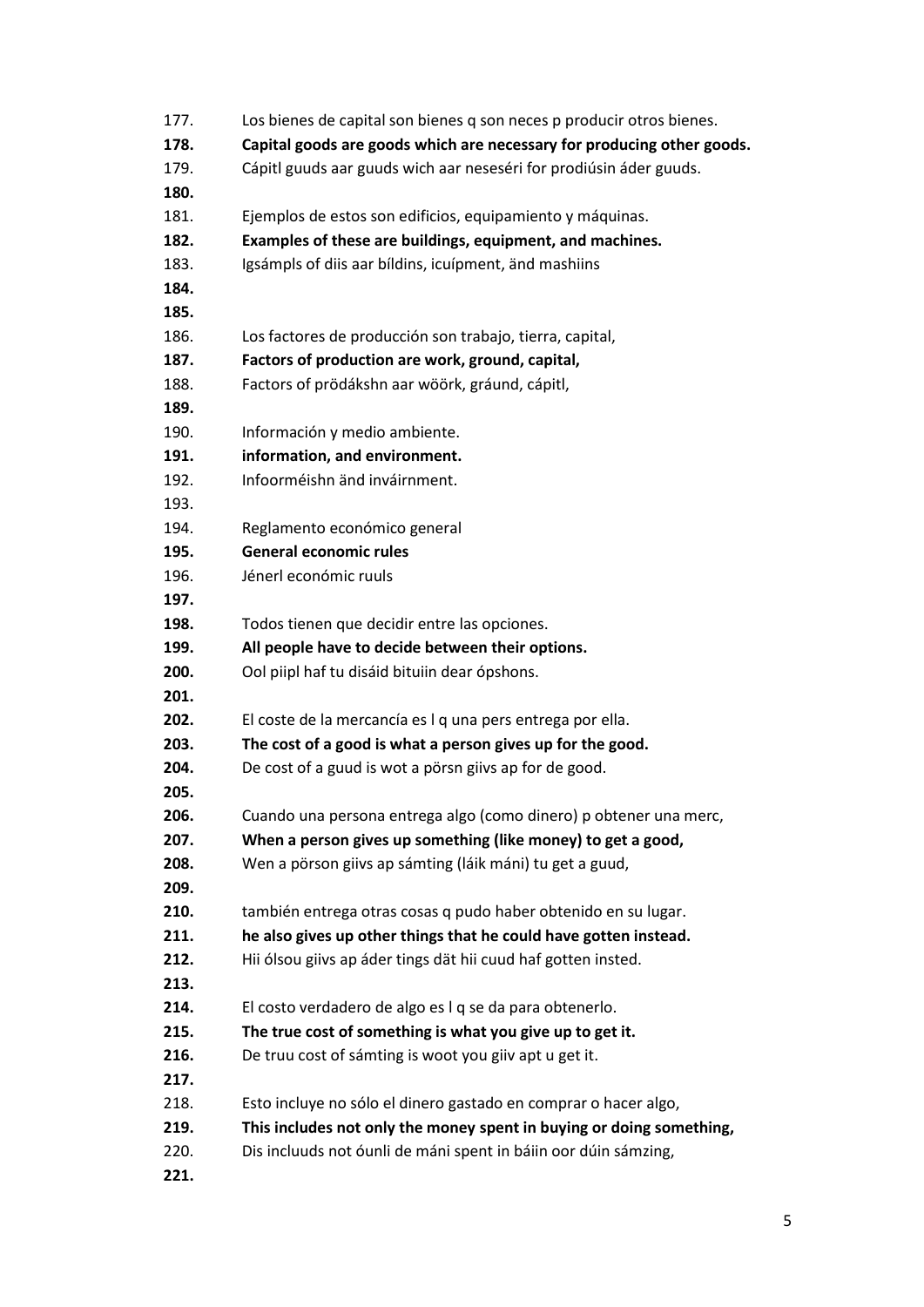| 177. | Los bienes de capital son bienes q son neces p producir otros bienes.  |
|------|------------------------------------------------------------------------|
| 178. | Capital goods are goods which are necessary for producing other goods. |
| 179. | Cápitl guuds aar guuds wich aar neseséri for prodiúsin áder guuds.     |
| 180. |                                                                        |
| 181. | Ejemplos de estos son edificios, equipamiento y máquinas.              |
| 182. | Examples of these are buildings, equipment, and machines.              |
| 183. | Igsámpls of diis aar bíldins, icuípment, änd mashiins                  |
| 184. |                                                                        |
| 185. |                                                                        |
| 186. | Los factores de producción son trabajo, tierra, capital,               |
| 187. | Factors of production are work, ground, capital,                       |
| 188. | Factors of prödákshn aar wöörk, gráund, cápitl,                        |
| 189. |                                                                        |
| 190. | Información y medio ambiente.                                          |
| 191. | information, and environment.                                          |
| 192. | Infoorméishn änd inváirnment.                                          |
| 193. |                                                                        |
| 194. | Reglamento económico general                                           |
| 195. | <b>General economic rules</b>                                          |
| 196. | Jénerl económic ruuls                                                  |
| 197. |                                                                        |
| 198. | Todos tienen que decidir entre las opciones.                           |
| 199. | All people have to decide between their options.                       |
| 200. | Ool piipl haf tu disáid bituiin dear ópshons.                          |
| 201. |                                                                        |
| 202. | El coste de la mercancía es I q una pers entrega por ella.             |
| 203. | The cost of a good is what a person gives up for the good.             |
| 204. | De cost of a guud is wot a pörsn giivs ap for de good.                 |
| 205. |                                                                        |
| 206. | Cuando una persona entrega algo (como dinero) p obtener una merc,      |
| 207. | When a person gives up something (like money) to get a good,           |
| 208. | Wen a pörson giivs ap sámting (láik máni) tu get a guud,               |
| 209. |                                                                        |
| 210. | también entrega otras cosas q pudo haber obtenido en su lugar.         |
| 211. | he also gives up other things that he could have gotten instead.       |
| 212. | Hii ólsou giivs ap áder tings dät hii cuud haf gotten insted.          |
| 213. |                                                                        |
| 214. | El costo verdadero de algo es I q se da para obtenerlo.                |
| 215. | The true cost of something is what you give up to get it.              |
| 216. | De truu cost of sámting is woot you giiv apt u get it.                 |
| 217. |                                                                        |
| 218. | Esto incluye no sólo el dinero gastado en comprar o hacer algo,        |
| 219. | This includes not only the money spent in buying or doing something,   |
| 220. | Dis incluuds not óunli de máni spent in báiin oor dúin sámzing,        |
| 221. |                                                                        |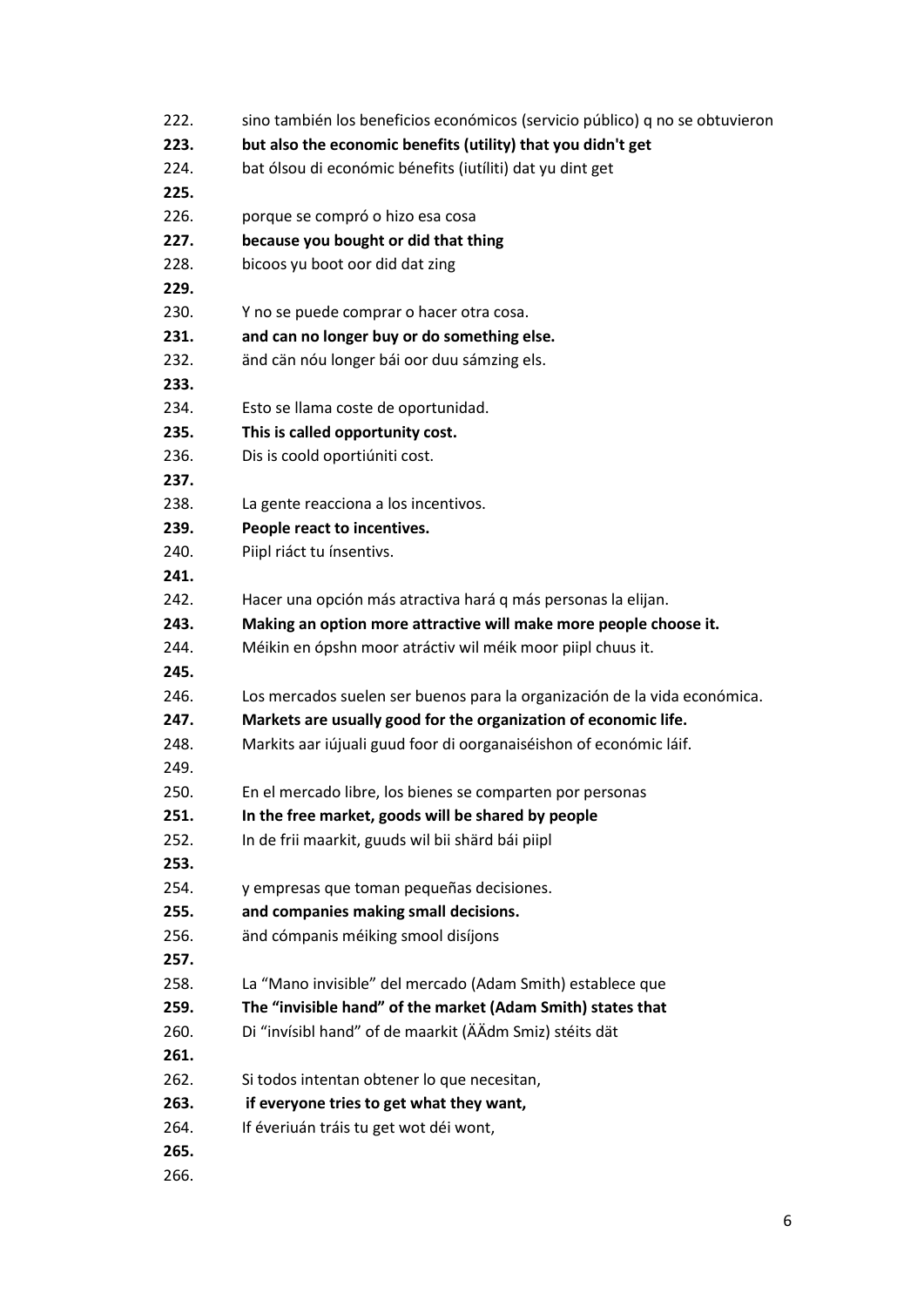| 222. | sino también los beneficios económicos (servicio público) q no se obtuvieron |
|------|------------------------------------------------------------------------------|
| 223. | but also the economic benefits (utility) that you didn't get                 |
| 224. | bat ólsou di económic bénefits (iutíliti) dat yu dint get                    |
| 225. |                                                                              |
| 226. | porque se compró o hizo esa cosa                                             |
| 227. | because you bought or did that thing                                         |
| 228. | bicoos yu boot oor did dat zing                                              |
| 229. |                                                                              |
| 230. | Y no se puede comprar o hacer otra cosa.                                     |
| 231. | and can no longer buy or do something else.                                  |
| 232. | änd cän nóu longer bái oor duu sámzing els.                                  |
| 233. |                                                                              |
| 234. | Esto se llama coste de oportunidad.                                          |
| 235. | This is called opportunity cost.                                             |
| 236. | Dis is coold oportiúniti cost.                                               |
| 237. |                                                                              |
| 238. | La gente reacciona a los incentivos.                                         |
| 239. | People react to incentives.                                                  |
| 240. | Piipl riáct tu ínsentivs.                                                    |
| 241. |                                                                              |
| 242. | Hacer una opción más atractiva hará q más personas la elijan.                |
| 243. | Making an option more attractive will make more people choose it.            |
| 244. | Méikin en ópshn moor atráctiv wil méik moor piipl chuus it.                  |
| 245. |                                                                              |
| 246. | Los mercados suelen ser buenos para la organización de la vida económica.    |
| 247. | Markets are usually good for the organization of economic life.              |
| 248. | Markits aar iújuali guud foor di oorganaiséishon of económic láif.           |
| 249. |                                                                              |
| 250. | En el mercado libre, los bienes se comparten por personas                    |
| 251. | In the free market, goods will be shared by people                           |
| 252. | In de frii maarkit, guuds wil bii shärd bái piipl                            |
| 253. |                                                                              |
| 254. | y empresas que toman pequeñas decisiones.                                    |
| 255. | and companies making small decisions.                                        |
| 256. | änd cómpanis méiking smool disíjons                                          |
| 257. |                                                                              |
| 258. | La "Mano invisible" del mercado (Adam Smith) establece que                   |
| 259. | The "invisible hand" of the market (Adam Smith) states that                  |
| 260. | Di "invísibl hand" of de maarkit (ÄÄdm Smiz) stéits dät                      |
| 261. |                                                                              |
| 262. | Si todos intentan obtener lo que necesitan,                                  |
| 263. | if everyone tries to get what they want,                                     |
| 264. | If éveriuán tráis tu get wot déi wont,                                       |
| 265. |                                                                              |
| 266. |                                                                              |